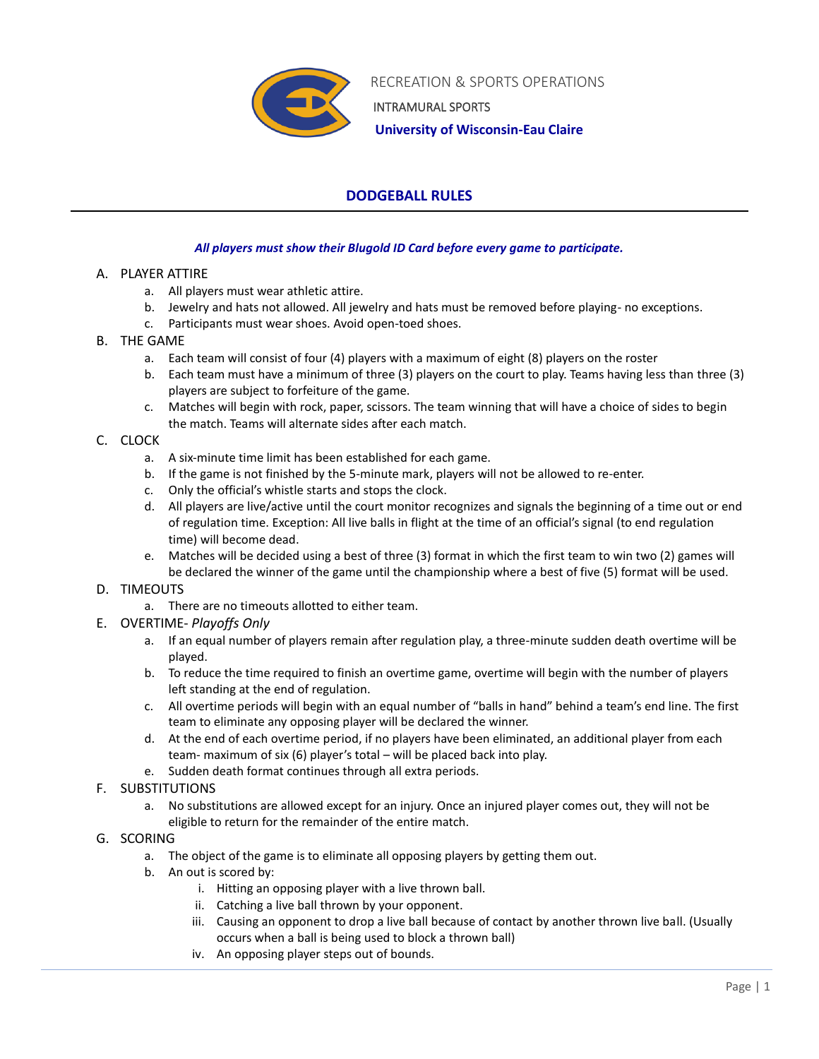

 RECREATION & SPORTS OPERATIONS INTRAMURAL SPORTS

 **University of Wisconsin-Eau Claire**

# **DODGEBALL RULES**

## *All players must show their Blugold ID Card before every game to participate.*

## A. PLAYER ATTIRE

- a. All players must wear athletic attire.
- b. Jewelry and hats not allowed. All jewelry and hats must be removed before playing- no exceptions.
- c. Participants must wear shoes. Avoid open-toed shoes.

## B. THE GAME

- a. Each team will consist of four (4) players with a maximum of eight (8) players on the roster
- b. Each team must have a minimum of three (3) players on the court to play. Teams having less than three (3) players are subject to forfeiture of the game.
- c. Matches will begin with rock, paper, scissors. The team winning that will have a choice of sides to begin the match. Teams will alternate sides after each match.

## C. CLOCK

- a. A six-minute time limit has been established for each game.
- b. If the game is not finished by the 5-minute mark, players will not be allowed to re-enter.
- c. Only the official's whistle starts and stops the clock.
- d. All players are live/active until the court monitor recognizes and signals the beginning of a time out or end of regulation time. Exception: All live balls in flight at the time of an official's signal (to end regulation time) will become dead.
- e. Matches will be decided using a best of three (3) format in which the first team to win two (2) games will be declared the winner of the game until the championship where a best of five (5) format will be used.

# D. TIMEOUTS

- a. There are no timeouts allotted to either team.
- E. OVERTIME- *Playoffs Only*
	- a. If an equal number of players remain after regulation play, a three-minute sudden death overtime will be played.
	- b. To reduce the time required to finish an overtime game, overtime will begin with the number of players left standing at the end of regulation.
	- c. All overtime periods will begin with an equal number of "balls in hand" behind a team's end line. The first team to eliminate any opposing player will be declared the winner.
	- d. At the end of each overtime period, if no players have been eliminated, an additional player from each team- maximum of six (6) player's total – will be placed back into play.
	- e. Sudden death format continues through all extra periods.
- F. SUBSTITUTIONS
	- a. No substitutions are allowed except for an injury. Once an injured player comes out, they will not be eligible to return for the remainder of the entire match.
- G. SCORING
	- a. The object of the game is to eliminate all opposing players by getting them out.
	- b. An out is scored by:
		- i. Hitting an opposing player with a live thrown ball.
		- ii. Catching a live ball thrown by your opponent.
		- iii. Causing an opponent to drop a live ball because of contact by another thrown live ball. (Usually occurs when a ball is being used to block a thrown ball)
		- iv. An opposing player steps out of bounds.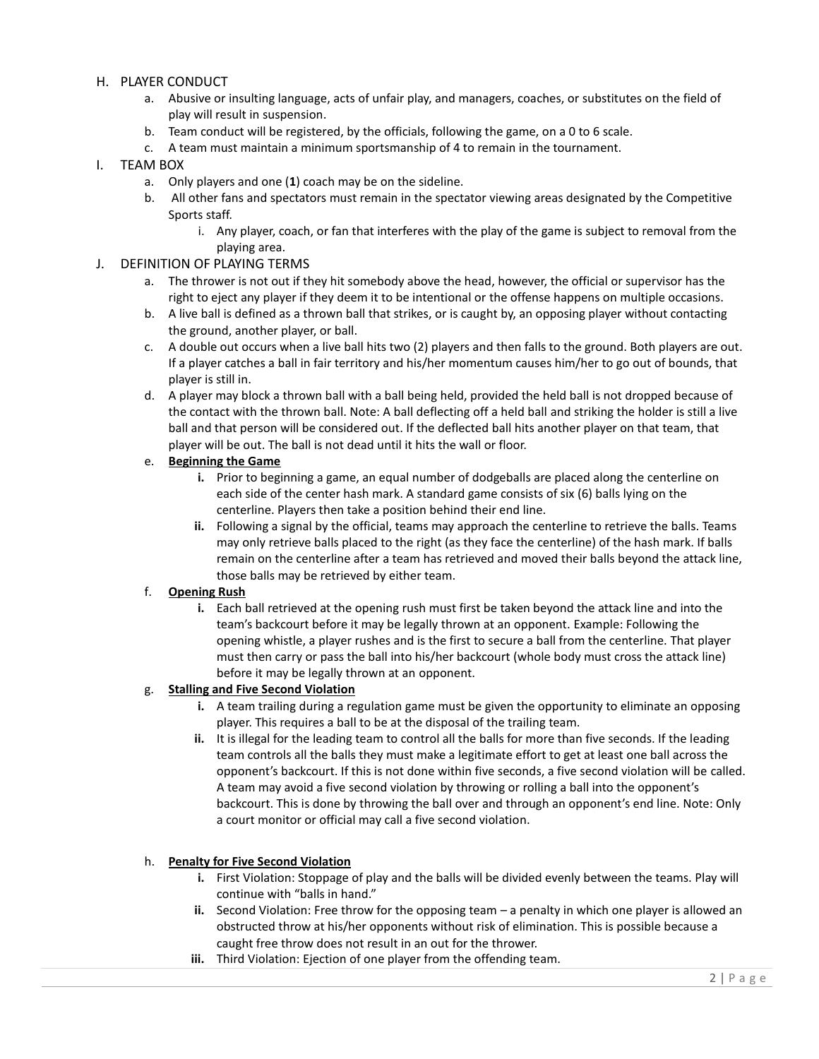#### H. PLAYER CONDUCT

- a. Abusive or insulting language, acts of unfair play, and managers, coaches, or substitutes on the field of play will result in suspension.
- b. Team conduct will be registered, by the officials, following the game, on a 0 to 6 scale.
- c. A team must maintain a minimum sportsmanship of 4 to remain in the tournament.

#### I. TEAM BOX

- a. Only players and one (**1**) coach may be on the sideline.
- b. All other fans and spectators must remain in the spectator viewing areas designated by the Competitive Sports staff.
	- i. Any player, coach, or fan that interferes with the play of the game is subject to removal from the playing area.

#### J. DEFINITION OF PLAYING TERMS

- a. The thrower is not out if they hit somebody above the head, however, the official or supervisor has the right to eject any player if they deem it to be intentional or the offense happens on multiple occasions.
- b. A live ball is defined as a thrown ball that strikes, or is caught by, an opposing player without contacting the ground, another player, or ball.
- c. A double out occurs when a live ball hits two (2) players and then falls to the ground. Both players are out. If a player catches a ball in fair territory and his/her momentum causes him/her to go out of bounds, that player is still in.
- d. A player may block a thrown ball with a ball being held, provided the held ball is not dropped because of the contact with the thrown ball. Note: A ball deflecting off a held ball and striking the holder is still a live ball and that person will be considered out. If the deflected ball hits another player on that team, that player will be out. The ball is not dead until it hits the wall or floor.

#### e. **Beginning the Game**

- **i.** Prior to beginning a game, an equal number of dodgeballs are placed along the centerline on each side of the center hash mark. A standard game consists of six (6) balls lying on the centerline. Players then take a position behind their end line.
- **ii.** Following a signal by the official, teams may approach the centerline to retrieve the balls. Teams may only retrieve balls placed to the right (as they face the centerline) of the hash mark. If balls remain on the centerline after a team has retrieved and moved their balls beyond the attack line, those balls may be retrieved by either team.

## f. **Opening Rush**

**i.** Each ball retrieved at the opening rush must first be taken beyond the attack line and into the team's backcourt before it may be legally thrown at an opponent. Example: Following the opening whistle, a player rushes and is the first to secure a ball from the centerline. That player must then carry or pass the ball into his/her backcourt (whole body must cross the attack line) before it may be legally thrown at an opponent.

#### g. **Stalling and Five Second Violation**

- **i.** A team trailing during a regulation game must be given the opportunity to eliminate an opposing player. This requires a ball to be at the disposal of the trailing team.
- **ii.** It is illegal for the leading team to control all the balls for more than five seconds. If the leading team controls all the balls they must make a legitimate effort to get at least one ball across the opponent's backcourt. If this is not done within five seconds, a five second violation will be called. A team may avoid a five second violation by throwing or rolling a ball into the opponent's backcourt. This is done by throwing the ball over and through an opponent's end line. Note: Only a court monitor or official may call a five second violation.

#### h. **Penalty for Five Second Violation**

- **i.** First Violation: Stoppage of play and the balls will be divided evenly between the teams. Play will continue with "balls in hand."
- **ii.** Second Violation: Free throw for the opposing team a penalty in which one player is allowed an obstructed throw at his/her opponents without risk of elimination. This is possible because a caught free throw does not result in an out for the thrower.
- **iii.** Third Violation: Ejection of one player from the offending team.